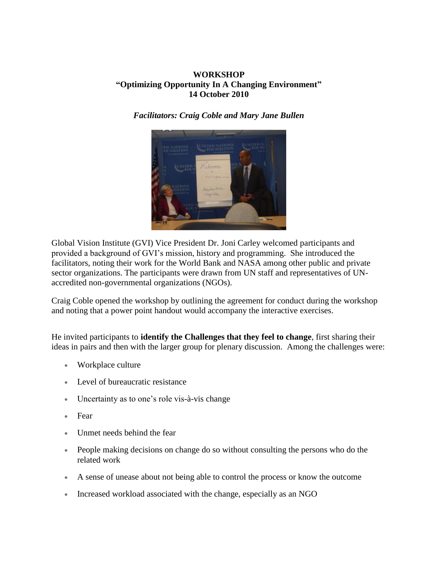## **WORKSHOP "Optimizing Opportunity In A Changing Environment" 14 October 2010**

*Facilitators: Craig Coble and Mary Jane Bullen*



Global Vision Institute (GVI) Vice President Dr. Joni Carley welcomed participants and provided a background of GVI's mission, history and programming. She introduced the facilitators, noting their work for the World Bank and NASA among other public and private sector organizations. The participants were drawn from UN staff and representatives of UNaccredited non-governmental organizations (NGOs).

Craig Coble opened the workshop by outlining the agreement for conduct during the workshop and noting that a power point handout would accompany the interactive exercises.

He invited participants to **identify the Challenges that they feel to change**, first sharing their ideas in pairs and then with the larger group for plenary discussion. Among the challenges were:

- Workplace culture
- Level of bureaucratic resistance
- Uncertainty as to one's role vis-à-vis change
- Fear
- Unmet needs behind the fear
- People making decisions on change do so without consulting the persons who do the related work
- A sense of unease about not being able to control the process or know the outcome
- Increased workload associated with the change, especially as an NGO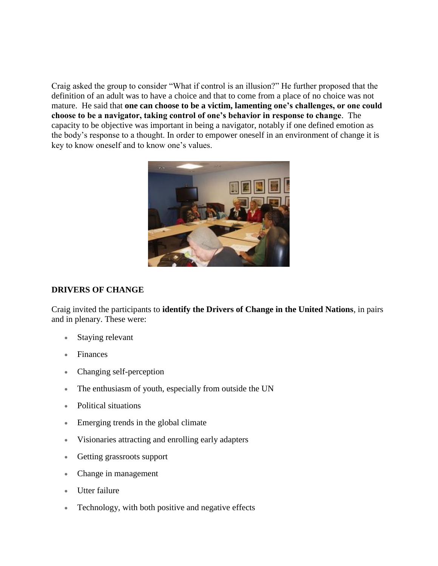Craig asked the group to consider "What if control is an illusion?" He further proposed that the definition of an adult was to have a choice and that to come from a place of no choice was not mature. He said that **one can choose to be a victim, lamenting one's challenges, or one could choose to be a navigator, taking control of one's behavior in response to change**. The capacity to be objective was important in being a navigator, notably if one defined emotion as the body's response to a thought. In order to empower oneself in an environment of change it is key to know oneself and to know one's values.



## **DRIVERS OF CHANGE**

Craig invited the participants to **identify the Drivers of Change in the United Nations**, in pairs and in plenary. These were:

- Staying relevant
- Finances
- Changing self-perception
- The enthusiasm of youth, especially from outside the UN
- Political situations
- Emerging trends in the global climate
- Visionaries attracting and enrolling early adapters
- Getting grassroots support
- Change in management
- Utter failure
- Technology, with both positive and negative effects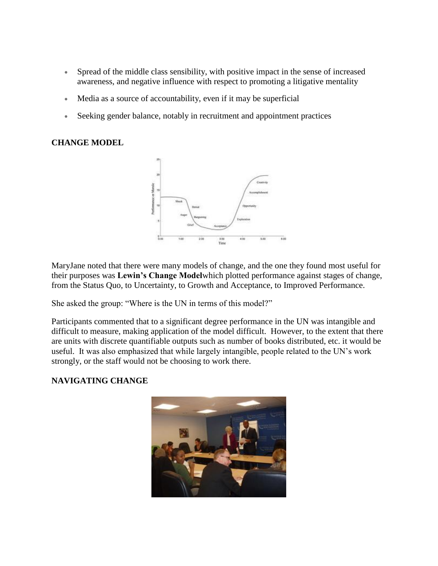- Spread of the middle class sensibility, with positive impact in the sense of increased awareness, and negative influence with respect to promoting a litigative mentality
- Media as a source of accountability, even if it may be superficial
- Seeking gender balance, notably in recruitment and appointment practices

## **CHANGE MODEL**



MaryJane noted that there were many models of change, and the one they found most useful for their purposes was **Lewin's Change Model**which plotted performance against stages of change, from the Status Quo, to Uncertainty, to Growth and Acceptance, to Improved Performance.

She asked the group: "Where is the UN in terms of this model?"

Participants commented that to a significant degree performance in the UN was intangible and difficult to measure, making application of the model difficult. However, to the extent that there are units with discrete quantifiable outputs such as number of books distributed, etc. it would be useful. It was also emphasized that while largely intangible, people related to the UN's work strongly, or the staff would not be choosing to work there.

## **NAVIGATING CHANGE**